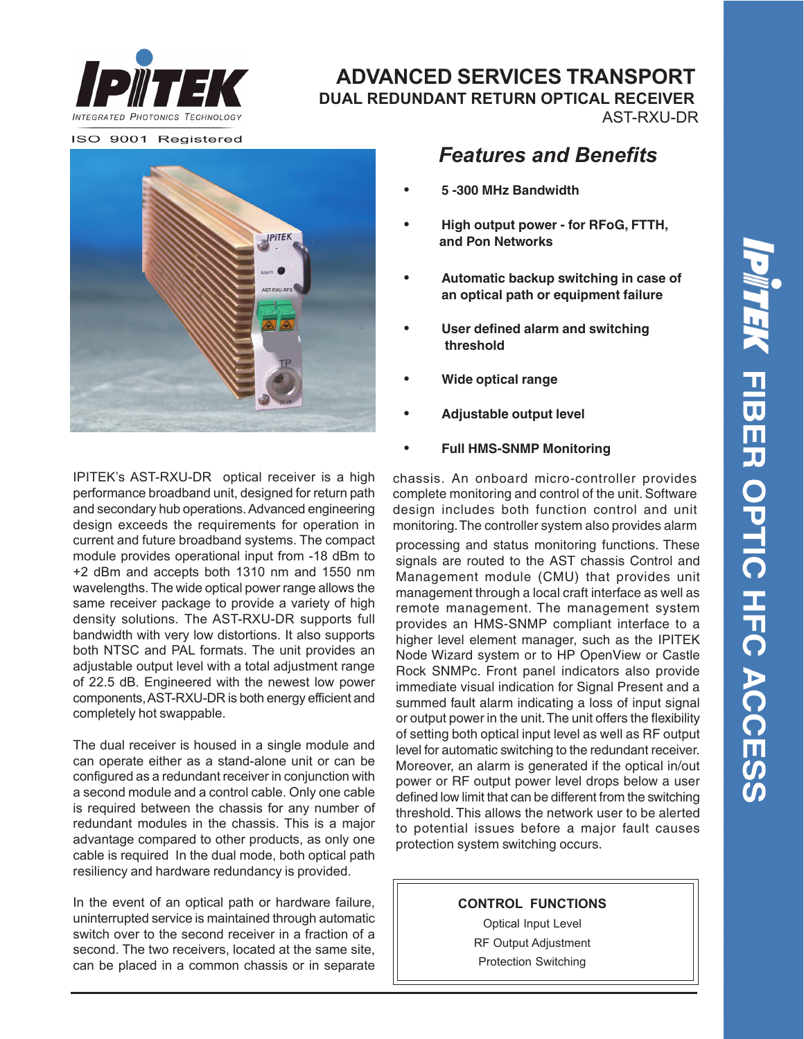

### **ADVANCED SERVICES TRANSPORT DUAL REDUNDANT RETURN OPTICAL RECEIVER** AST-RXU-DR

ISO 9001 Registered



*Features and Benefits*

- **• 5 -300 MHz Bandwidth**
- **• High output power for RFoG, FTTH, and Pon Networks**
- **• Automatic backup switching in case of an optical path or equipment failure**
- **• User defined alarm and switching threshold**
- **• Wide optical range**
- **• Adjustable output level**
- **• Full HMS-SNMP Monitoring**

IPITEK's AST-RXU-DR optical receiver is a high performance broadband unit, designed for return path and secondary hub operations. Advanced engineering design exceeds the requirements for operation in current and future broadband systems. The compact module provides operational input from -18 dBm to +2 dBm and accepts both 1310 nm and 1550 nm wavelengths. The wide optical power range allows the same receiver package to provide a variety of high density solutions. The AST-RXU-DR supports full bandwidth with very low distortions. It also supports both NTSC and PAL formats. The unit provides an adjustable output level with a total adjustment range of 22.5 dB. Engineered with the newest low power components, AST-RXU-DR is both energy efficient and completely hot swappable.

The dual receiver is housed in a single module and can operate either as a stand-alone unit or can be configured as a redundant receiver in conjunction with a second module and a control cable. Only one cable is required between the chassis for any number of redundant modules in the chassis. This is a major advantage compared to other products, as only one cable is required In the dual mode, both optical path resiliency and hardware redundancy is provided.

In the event of an optical path or hardware failure, uninterrupted service is maintained through automatic switch over to the second receiver in a fraction of a second. The two receivers, located at the same site, can be placed in a common chassis or in separate

chassis. An onboard micro-controller provides complete monitoring and control of the unit. Software design includes both function control and unit monitoring. The controller system also provides alarm

processing and status monitoring functions. These signals are routed to the AST chassis Control and Management module (CMU) that provides unit management through a local craft interface as well as remote management. The management system provides an HMS-SNMP compliant interface to a higher level element manager, such as the IPITEK Node Wizard system or to HP OpenView or Castle Rock SNMPc. Front panel indicators also provide immediate visual indication for Signal Present and a summed fault alarm indicating a loss of input signal or output power in the unit. The unit offers the flexibility of setting both optical input level as well as RF output level for automatic switching to the redundant receiver. Moreover, an alarm is generated if the optical in/out power or RF output power level drops below a user defined low limit that can be different from the switching threshold. This allows the network user to be alerted to potential issues before a major fault causes protection system switching occurs.

#### **CONTROL FUNCTIONS**

Optical Input Level RF Output Adjustment Protection Switching